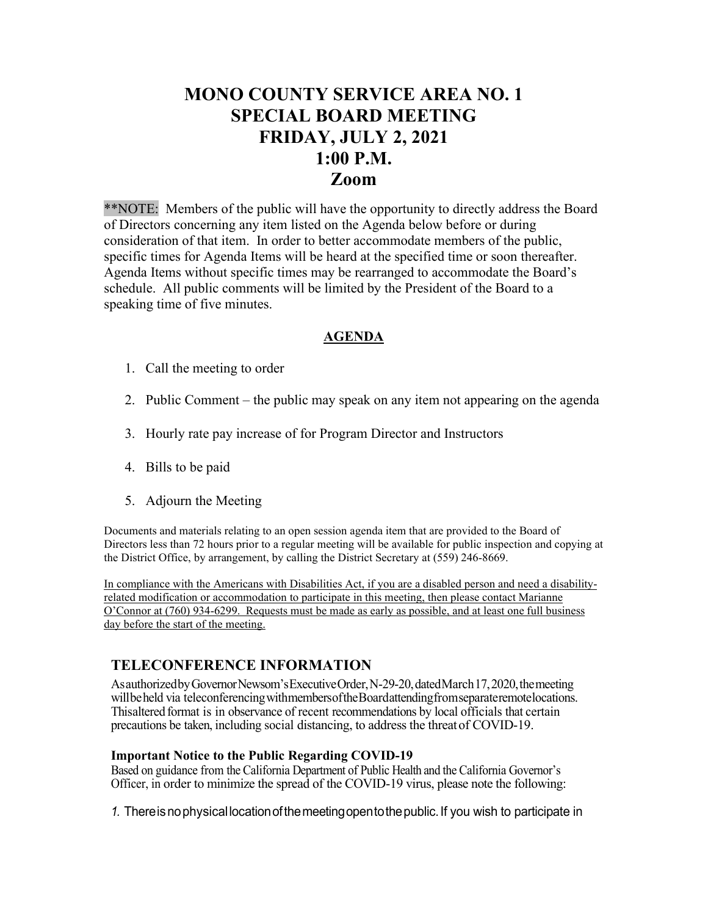## **MONO COUNTY SERVICE AREA NO. 1 SPECIAL BOARD MEETING FRIDAY, JULY 2, 2021 1:00 P.M. Zoom**

\*\*NOTE: Members of the public will have the opportunity to directly address the Board of Directors concerning any item listed on the Agenda below before or during consideration of that item. In order to better accommodate members of the public, specific times for Agenda Items will be heard at the specified time or soon thereafter. Agenda Items without specific times may be rearranged to accommodate the Board's schedule. All public comments will be limited by the President of the Board to a speaking time of five minutes.

## **AGENDA**

- 1. Call the meeting to order
- 2. Public Comment the public may speak on any item not appearing on the agenda
- 3. Hourly rate pay increase of for Program Director and Instructors
- 4. Bills to be paid
- 5. Adjourn the Meeting

Documents and materials relating to an open session agenda item that are provided to the Board of Directors less than 72 hours prior to a regular meeting will be available for public inspection and copying at the District Office, by arrangement, by calling the District Secretary at (559) 246-8669.

In compliance with the Americans with Disabilities Act, if you are a disabled person and need a disabilityrelated modification or accommodation to participate in this meeting, then please contact Marianne O'Connor at (760) 934-6299. Requests must be made as early as possible, and at least one full business day before the start of the meeting.

## **TELECONFERENCE INFORMATION**

As authorized by Governor Newsom's Executive Order, N-29-20, dated March 17, 2020, the meeting willbeheld via teleconferencing withmembersoftheBoardattendingfromseparateremotelocations. Thisaltered format is in observance of recent recommendations by local officials that certain precautions be taken, including social distancing, to address the threat of COVID-19.

## **Important Notice to the Public Regarding COVID-19**

Based on guidance from the California Department of Public Health and the California Governor's Officer, in order to minimize the spread of the COVID-19 virus, please note the following:

*1.* Thereisnophysicallocationofthemeetingopentothepublic.If you wish to participate in